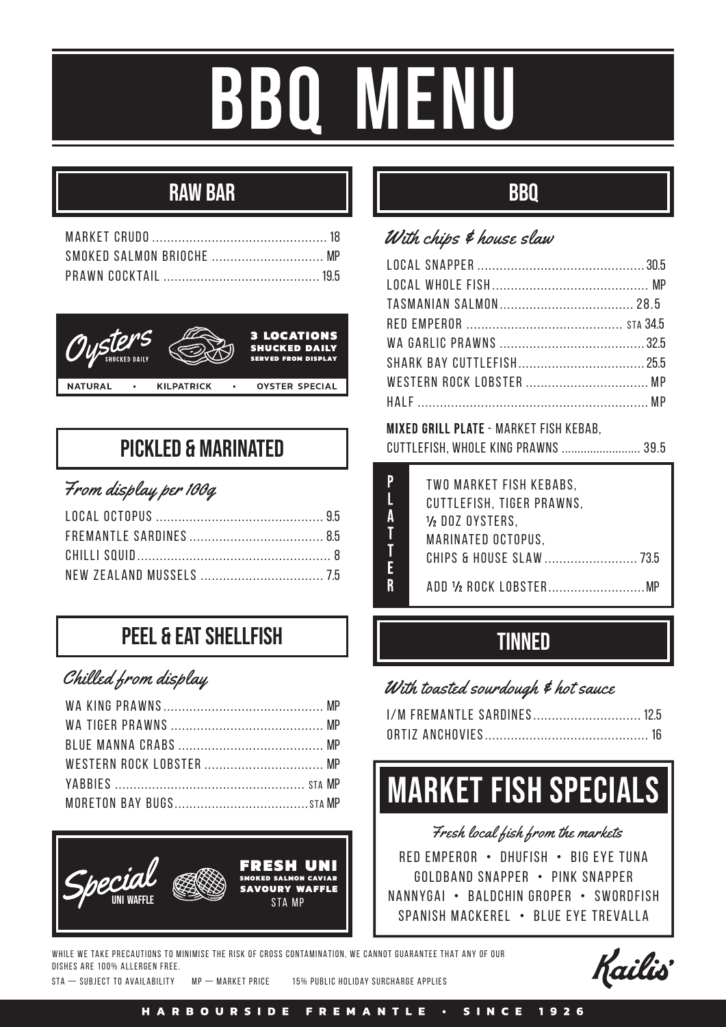# BBQ MENU

# RAW BAR



### PICKLED & MARINATED

### From display per 100g

# **PFFI & FAT SHFI I FISH**

### Chilled from display



# BBQ

### With chips & house slaw

MIXED GRILL PLATE - MARKET FISH KEBAB. cuttlefish, whole king prawns ......................... 39.5

| TWO MARKET FISH KEBABS.    |
|----------------------------|
| CUTTLEFISH, TIGER PRAWNS,  |
| $\frac{1}{2}$ DOZ OYSTERS, |
| MARINATED OCTOPUS.         |
| CHIPS & HOUSE SLAW  73.5   |
|                            |
| ADD ½ ROCK LOBSTERMP       |

# **TINNED**

#### With toasted sourdough & hot sauce

| I/M FREMANTLE SARDINES 12.5 |  |
|-----------------------------|--|
|                             |  |

# market fish specials

Fresh local fish from the markets

red emperor • dhufish • Big eye tuna goldband snapper • pink snapper nannygai • Baldchin groper • swordfish Spanish Mackerel • blue eye trevalla

WHILE WE TAKE PRECAUTIONS TO MINIMISE THE RISK OF CROSS CONTAMINATION, WE CANNOT GUARANTEE THAT ANY OF OUR DISHES ARE 100% ALLERGEN FREE.

sta — subject to availability Mp — Market Price 15% public holiday surcharge applies

Kailis